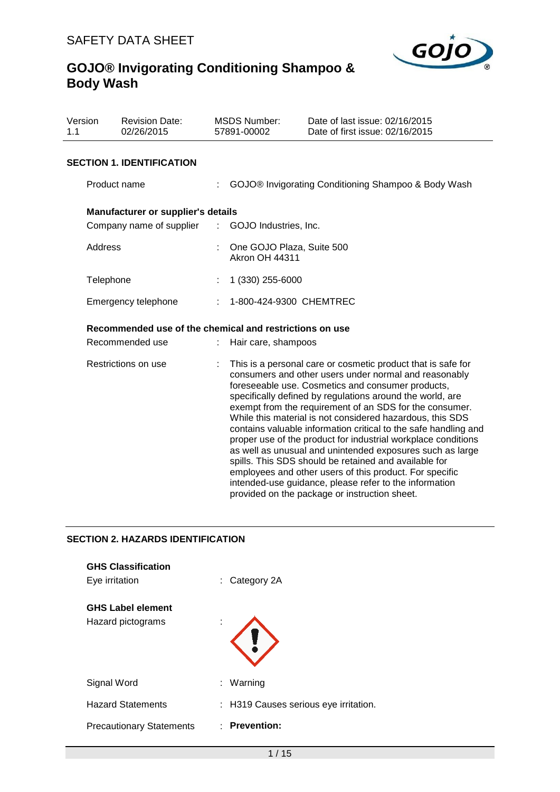

| Version<br>1.1      | <b>Revision Date:</b><br>02/26/2015                     |    | <b>MSDS Number:</b><br>57891-00002                   | Date of last issue: 02/16/2015<br>Date of first issue: 02/16/2015                                                                                                                                                                                                                                                                                                                                                                                                                                                                                                                                                                                                                                                                                                                               |
|---------------------|---------------------------------------------------------|----|------------------------------------------------------|-------------------------------------------------------------------------------------------------------------------------------------------------------------------------------------------------------------------------------------------------------------------------------------------------------------------------------------------------------------------------------------------------------------------------------------------------------------------------------------------------------------------------------------------------------------------------------------------------------------------------------------------------------------------------------------------------------------------------------------------------------------------------------------------------|
|                     | <b>SECTION 1. IDENTIFICATION</b>                        |    |                                                      |                                                                                                                                                                                                                                                                                                                                                                                                                                                                                                                                                                                                                                                                                                                                                                                                 |
|                     | Product name                                            |    |                                                      | GOJO® Invigorating Conditioning Shampoo & Body Wash                                                                                                                                                                                                                                                                                                                                                                                                                                                                                                                                                                                                                                                                                                                                             |
|                     | Manufacturer or supplier's details                      |    |                                                      |                                                                                                                                                                                                                                                                                                                                                                                                                                                                                                                                                                                                                                                                                                                                                                                                 |
|                     | Company name of supplier : GOJO Industries, Inc.        |    |                                                      |                                                                                                                                                                                                                                                                                                                                                                                                                                                                                                                                                                                                                                                                                                                                                                                                 |
| Address             |                                                         |    | : One GOJO Plaza, Suite 500<br><b>Akron OH 44311</b> |                                                                                                                                                                                                                                                                                                                                                                                                                                                                                                                                                                                                                                                                                                                                                                                                 |
| Telephone           |                                                         |    | 1 (330) 255-6000                                     |                                                                                                                                                                                                                                                                                                                                                                                                                                                                                                                                                                                                                                                                                                                                                                                                 |
|                     | Emergency telephone                                     | t. | 1-800-424-9300 CHEMTREC                              |                                                                                                                                                                                                                                                                                                                                                                                                                                                                                                                                                                                                                                                                                                                                                                                                 |
|                     | Recommended use of the chemical and restrictions on use |    |                                                      |                                                                                                                                                                                                                                                                                                                                                                                                                                                                                                                                                                                                                                                                                                                                                                                                 |
|                     | Recommended use                                         |    | Hair care, shampoos                                  |                                                                                                                                                                                                                                                                                                                                                                                                                                                                                                                                                                                                                                                                                                                                                                                                 |
| Restrictions on use |                                                         |    |                                                      | This is a personal care or cosmetic product that is safe for<br>consumers and other users under normal and reasonably<br>foreseeable use. Cosmetics and consumer products,<br>specifically defined by regulations around the world, are<br>exempt from the requirement of an SDS for the consumer.<br>While this material is not considered hazardous, this SDS<br>contains valuable information critical to the safe handling and<br>proper use of the product for industrial workplace conditions<br>as well as unusual and unintended exposures such as large<br>spills. This SDS should be retained and available for<br>employees and other users of this product. For specific<br>intended-use guidance, please refer to the information<br>provided on the package or instruction sheet. |

### **SECTION 2. HAZARDS IDENTIFICATION**

| <b>GHS Classification</b><br>Eye irritation   |   | $:$ Category 2A                       |
|-----------------------------------------------|---|---------------------------------------|
| <b>GHS Label element</b><br>Hazard pictograms | ٠ |                                       |
| Signal Word                                   |   | : Warning                             |
| <b>Hazard Statements</b>                      |   | : H319 Causes serious eye irritation. |
| <b>Precautionary Statements</b>               |   | $:$ Prevention:                       |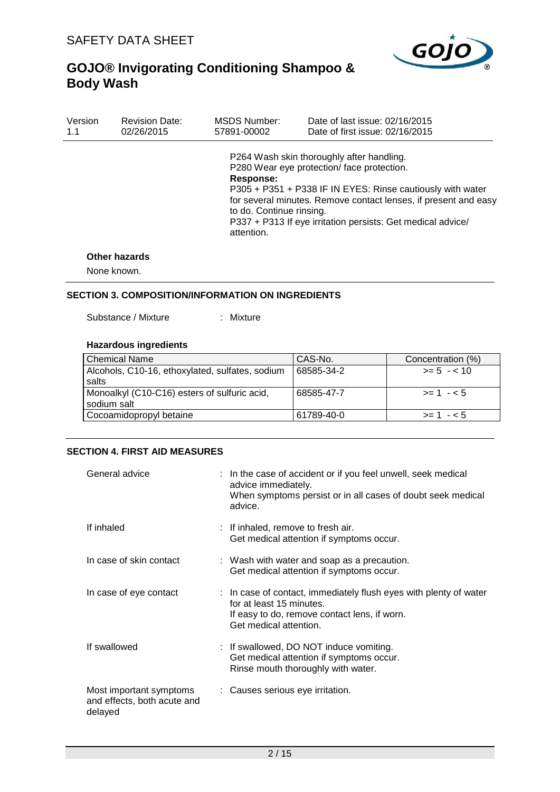

| Version | <b>Revision Date:</b> | MSDS Number:                                        | Date of last issue: 02/16/2015                                                                                                                                                                                                                                                          |
|---------|-----------------------|-----------------------------------------------------|-----------------------------------------------------------------------------------------------------------------------------------------------------------------------------------------------------------------------------------------------------------------------------------------|
| 1.1     | 02/26/2015            | 57891-00002                                         | Date of first issue: 02/16/2015                                                                                                                                                                                                                                                         |
|         | A (L. L. L.           | Response:<br>to do. Continue rinsing.<br>attention. | P264 Wash skin thoroughly after handling.<br>P280 Wear eye protection/ face protection.<br>P305 + P351 + P338 IF IN EYES: Rinse cautiously with water<br>for several minutes. Remove contact lenses, if present and easy<br>P337 + P313 If eye irritation persists: Get medical advice/ |

#### **Other hazards**

None known.

### **SECTION 3. COMPOSITION/INFORMATION ON INGREDIENTS**

Substance / Mixture : Mixture

### **Hazardous ingredients**

| <b>Chemical Name</b>                            | CAS-No.    | Concentration (%) |
|-------------------------------------------------|------------|-------------------|
| Alcohols, C10-16, ethoxylated, sulfates, sodium | 68585-34-2 | $>= 5 - 10$       |
| salts                                           |            |                   |
| Monoalkyl (C10-C16) esters of sulfuric acid,    | 68585-47-7 | $> = 1 - 5$       |
| sodium salt                                     |            |                   |
| Cocoamidopropyl betaine                         | 61789-40-0 | $>= 1 - 5$        |

### **SECTION 4. FIRST AID MEASURES**

| General advice                                                    | : In the case of accident or if you feel unwell, seek medical<br>advice immediately.<br>When symptoms persist or in all cases of doubt seek medical<br>advice.          |
|-------------------------------------------------------------------|-------------------------------------------------------------------------------------------------------------------------------------------------------------------------|
| If inhaled                                                        | : If inhaled, remove to fresh air.<br>Get medical attention if symptoms occur.                                                                                          |
| In case of skin contact                                           | : Wash with water and soap as a precaution.<br>Get medical attention if symptoms occur.                                                                                 |
| In case of eye contact                                            | : In case of contact, immediately flush eyes with plenty of water<br>for at least 15 minutes.<br>If easy to do, remove contact lens, if worn.<br>Get medical attention. |
| If swallowed                                                      | : If swallowed, DO NOT induce vomiting.<br>Get medical attention if symptoms occur.<br>Rinse mouth thoroughly with water.                                               |
| Most important symptoms<br>and effects, both acute and<br>delayed | : Causes serious eye irritation.                                                                                                                                        |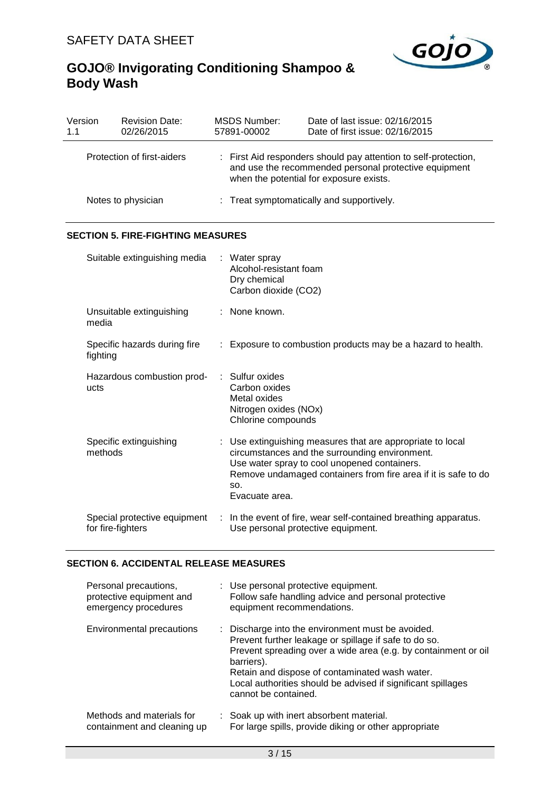

| Version<br>1.1             | <b>Revision Date:</b><br>02/26/2015               | <b>MSDS Number:</b><br>57891-00002                                                                                                                                  | Date of last issue: 02/16/2015<br>Date of first issue: 02/16/2015                                                                                                                                                            |  |  |  |
|----------------------------|---------------------------------------------------|---------------------------------------------------------------------------------------------------------------------------------------------------------------------|------------------------------------------------------------------------------------------------------------------------------------------------------------------------------------------------------------------------------|--|--|--|
| Protection of first-aiders |                                                   | : First Aid responders should pay attention to self-protection,<br>and use the recommended personal protective equipment<br>when the potential for exposure exists. |                                                                                                                                                                                                                              |  |  |  |
| Notes to physician         |                                                   |                                                                                                                                                                     | : Treat symptomatically and supportively.                                                                                                                                                                                    |  |  |  |
|                            | <b>SECTION 5. FIRE-FIGHTING MEASURES</b>          |                                                                                                                                                                     |                                                                                                                                                                                                                              |  |  |  |
|                            | Suitable extinguishing media                      | : Water spray<br>Alcohol-resistant foam<br>Dry chemical<br>Carbon dioxide (CO2)                                                                                     |                                                                                                                                                                                                                              |  |  |  |
|                            | Unsuitable extinguishing<br>media                 | None known.                                                                                                                                                         |                                                                                                                                                                                                                              |  |  |  |
|                            | Specific hazards during fire<br>fighting          |                                                                                                                                                                     | : Exposure to combustion products may be a hazard to health.                                                                                                                                                                 |  |  |  |
|                            | Hazardous combustion prod-<br>ucts                | : Sulfur oxides<br>Carbon oxides<br>Metal oxides<br>Nitrogen oxides (NOx)<br>Chlorine compounds                                                                     |                                                                                                                                                                                                                              |  |  |  |
|                            | Specific extinguishing<br>methods                 | SO.<br>Evacuate area.                                                                                                                                               | Use extinguishing measures that are appropriate to local<br>circumstances and the surrounding environment.<br>Use water spray to cool unopened containers.<br>Remove undamaged containers from fire area if it is safe to do |  |  |  |
|                            | Special protective equipment<br>for fire-fighters |                                                                                                                                                                     | In the event of fire, wear self-contained breathing apparatus.<br>Use personal protective equipment.                                                                                                                         |  |  |  |

### **SECTION 6. ACCIDENTAL RELEASE MEASURES**

| Personal precautions,<br>protective equipment and<br>emergency procedures | : Use personal protective equipment.<br>Follow safe handling advice and personal protective<br>equipment recommendations.                                                                                                                                                                                                            |
|---------------------------------------------------------------------------|--------------------------------------------------------------------------------------------------------------------------------------------------------------------------------------------------------------------------------------------------------------------------------------------------------------------------------------|
| Environmental precautions                                                 | : Discharge into the environment must be avoided.<br>Prevent further leakage or spillage if safe to do so.<br>Prevent spreading over a wide area (e.g. by containment or oil<br>barriers).<br>Retain and dispose of contaminated wash water.<br>Local authorities should be advised if significant spillages<br>cannot be contained. |
| Methods and materials for<br>containment and cleaning up                  | : Soak up with inert absorbent material.<br>For large spills, provide diking or other appropriate                                                                                                                                                                                                                                    |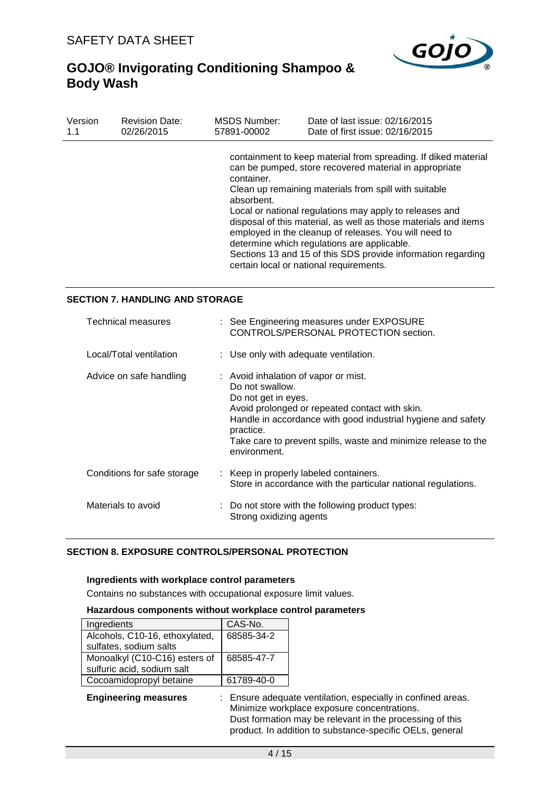

| Version | <b>Revision Date:</b> | <b>MSDS Number:</b>      | Date of last issue: 02/16/2015                                                                                                                                                                                                                                                                                                                                                                                                                                                                                                     |
|---------|-----------------------|--------------------------|------------------------------------------------------------------------------------------------------------------------------------------------------------------------------------------------------------------------------------------------------------------------------------------------------------------------------------------------------------------------------------------------------------------------------------------------------------------------------------------------------------------------------------|
| 1.1     | 02/26/2015            | 57891-00002              | Date of first issue: 02/16/2015                                                                                                                                                                                                                                                                                                                                                                                                                                                                                                    |
|         |                       | container.<br>absorbent. | containment to keep material from spreading. If diked material<br>can be pumped, store recovered material in appropriate<br>Clean up remaining materials from spill with suitable<br>Local or national regulations may apply to releases and<br>disposal of this material, as well as those materials and items<br>employed in the cleanup of releases. You will need to<br>determine which regulations are applicable.<br>Sections 13 and 15 of this SDS provide information regarding<br>certain local or national requirements. |

### **SECTION 7. HANDLING AND STORAGE**

| Technical measures          | : See Engineering measures under EXPOSURE<br>CONTROLS/PERSONAL PROTECTION section.                                                                                                                                                                                                              |
|-----------------------------|-------------------------------------------------------------------------------------------------------------------------------------------------------------------------------------------------------------------------------------------------------------------------------------------------|
| Local/Total ventilation     | : Use only with adequate ventilation.                                                                                                                                                                                                                                                           |
| Advice on safe handling     | : Avoid inhalation of vapor or mist.<br>Do not swallow.<br>Do not get in eyes.<br>Avoid prolonged or repeated contact with skin.<br>Handle in accordance with good industrial hygiene and safety<br>practice.<br>Take care to prevent spills, waste and minimize release to the<br>environment. |
| Conditions for safe storage | : Keep in properly labeled containers.<br>Store in accordance with the particular national regulations.                                                                                                                                                                                         |
| Materials to avoid          | : Do not store with the following product types:<br>Strong oxidizing agents                                                                                                                                                                                                                     |

### **SECTION 8. EXPOSURE CONTROLS/PERSONAL PROTECTION**

#### **Ingredients with workplace control parameters**

Contains no substances with occupational exposure limit values.

#### **Hazardous components without workplace control parameters**

| Ingredients                    | CAS-No.    |
|--------------------------------|------------|
| Alcohols, C10-16, ethoxylated, | 68585-34-2 |
| sulfates, sodium salts         |            |
| Monoalkyl (C10-C16) esters of  | 68585-47-7 |
| sulfuric acid, sodium salt     |            |
| Cocoamidopropyl betaine        | 61789-40-0 |

**Engineering measures** : Ensure adequate ventilation, especially in confined areas. Minimize workplace exposure concentrations. Dust formation may be relevant in the processing of this product. In addition to substance-specific OELs, general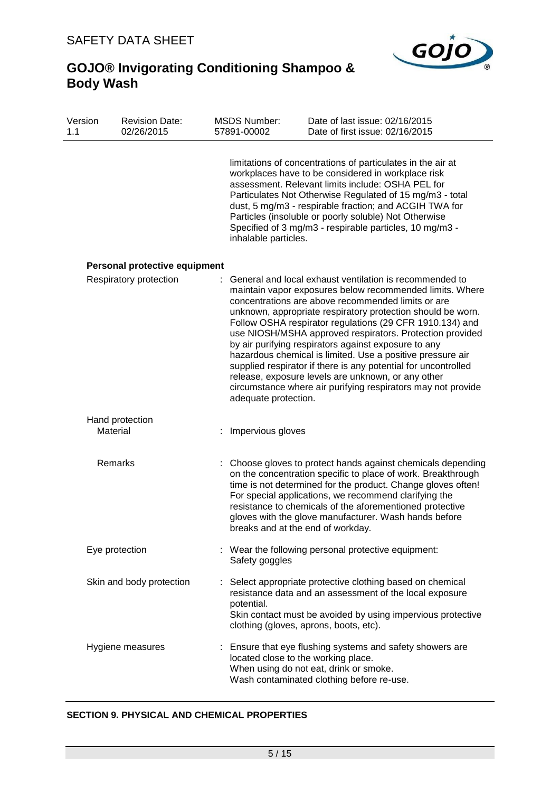

| Version<br>1.1 | <b>Revision Date:</b><br>02/26/2015 | <b>MSDS Number:</b><br>57891-00002 | Date of last issue: 02/16/2015<br>Date of first issue: 02/16/2015                                                                                                                                                                                                                                                                                                                                                                                                                                                                                                                                                                                                              |
|----------------|-------------------------------------|------------------------------------|--------------------------------------------------------------------------------------------------------------------------------------------------------------------------------------------------------------------------------------------------------------------------------------------------------------------------------------------------------------------------------------------------------------------------------------------------------------------------------------------------------------------------------------------------------------------------------------------------------------------------------------------------------------------------------|
|                |                                     | inhalable particles.               | limitations of concentrations of particulates in the air at<br>workplaces have to be considered in workplace risk<br>assessment. Relevant limits include: OSHA PEL for<br>Particulates Not Otherwise Regulated of 15 mg/m3 - total<br>dust, 5 mg/m3 - respirable fraction; and ACGIH TWA for<br>Particles (insoluble or poorly soluble) Not Otherwise<br>Specified of 3 mg/m3 - respirable particles, 10 mg/m3 -                                                                                                                                                                                                                                                               |
|                | Personal protective equipment       |                                    |                                                                                                                                                                                                                                                                                                                                                                                                                                                                                                                                                                                                                                                                                |
|                | Respiratory protection              | adequate protection.               | General and local exhaust ventilation is recommended to<br>maintain vapor exposures below recommended limits. Where<br>concentrations are above recommended limits or are<br>unknown, appropriate respiratory protection should be worn.<br>Follow OSHA respirator regulations (29 CFR 1910.134) and<br>use NIOSH/MSHA approved respirators. Protection provided<br>by air purifying respirators against exposure to any<br>hazardous chemical is limited. Use a positive pressure air<br>supplied respirator if there is any potential for uncontrolled<br>release, exposure levels are unknown, or any other<br>circumstance where air purifying respirators may not provide |
|                | Hand protection<br>Material         | Impervious gloves                  |                                                                                                                                                                                                                                                                                                                                                                                                                                                                                                                                                                                                                                                                                |
|                | Remarks                             |                                    | : Choose gloves to protect hands against chemicals depending<br>on the concentration specific to place of work. Breakthrough<br>time is not determined for the product. Change gloves often!<br>For special applications, we recommend clarifying the<br>resistance to chemicals of the aforementioned protective<br>gloves with the glove manufacturer. Wash hands before<br>breaks and at the end of workday.                                                                                                                                                                                                                                                                |
|                | Eye protection                      | Safety goggles                     | : Wear the following personal protective equipment:                                                                                                                                                                                                                                                                                                                                                                                                                                                                                                                                                                                                                            |
|                | Skin and body protection            | potential.                         | Select appropriate protective clothing based on chemical<br>resistance data and an assessment of the local exposure<br>Skin contact must be avoided by using impervious protective<br>clothing (gloves, aprons, boots, etc).                                                                                                                                                                                                                                                                                                                                                                                                                                                   |
|                | Hygiene measures                    |                                    | : Ensure that eye flushing systems and safety showers are<br>located close to the working place.<br>When using do not eat, drink or smoke.<br>Wash contaminated clothing before re-use.                                                                                                                                                                                                                                                                                                                                                                                                                                                                                        |

### **SECTION 9. PHYSICAL AND CHEMICAL PROPERTIES**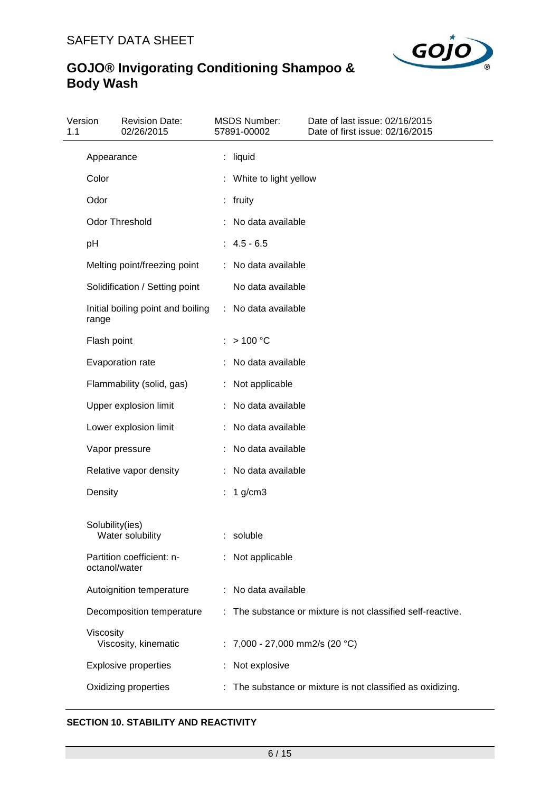

| 1.1 | Version         | <b>Revision Date:</b><br>02/26/2015 | <b>MSDS Number:</b><br>57891-00002 | Date of last issue: 02/16/2015<br>Date of first issue: 02/16/2015 |
|-----|-----------------|-------------------------------------|------------------------------------|-------------------------------------------------------------------|
|     | Appearance      |                                     | : liquid                           |                                                                   |
|     | Color           |                                     | : White to light yellow            |                                                                   |
|     | Odor            |                                     | : fruity                           |                                                                   |
|     |                 | <b>Odor Threshold</b>               | No data available                  |                                                                   |
|     | pH              |                                     | $: 4.5 - 6.5$                      |                                                                   |
|     |                 | Melting point/freezing point        | : No data available                |                                                                   |
|     |                 | Solidification / Setting point      | No data available                  |                                                                   |
|     | range           | Initial boiling point and boiling   | : No data available                |                                                                   |
|     | Flash point     |                                     | >100 °C                            |                                                                   |
|     |                 | Evaporation rate                    | No data available                  |                                                                   |
|     |                 | Flammability (solid, gas)           | : Not applicable                   |                                                                   |
|     |                 | Upper explosion limit               | No data available                  |                                                                   |
|     |                 | Lower explosion limit               | : No data available                |                                                                   |
|     |                 | Vapor pressure                      | : No data available                |                                                                   |
|     |                 | Relative vapor density              | No data available                  |                                                                   |
|     | Density         |                                     | $1$ g/cm $3$                       |                                                                   |
|     | Solubility(ies) | Water solubility                    | : soluble                          |                                                                   |
|     | octanol/water   | Partition coefficient: n-           | : Not applicable                   |                                                                   |
|     |                 | Autoignition temperature            | : No data available                |                                                                   |
|     |                 | Decomposition temperature           |                                    | The substance or mixture is not classified self-reactive.         |
|     | Viscosity       | Viscosity, kinematic                | : 7,000 - 27,000 mm2/s (20 °C)     |                                                                   |
|     |                 | <b>Explosive properties</b>         | Not explosive                      |                                                                   |
|     |                 | Oxidizing properties                |                                    | The substance or mixture is not classified as oxidizing.          |

### **SECTION 10. STABILITY AND REACTIVITY**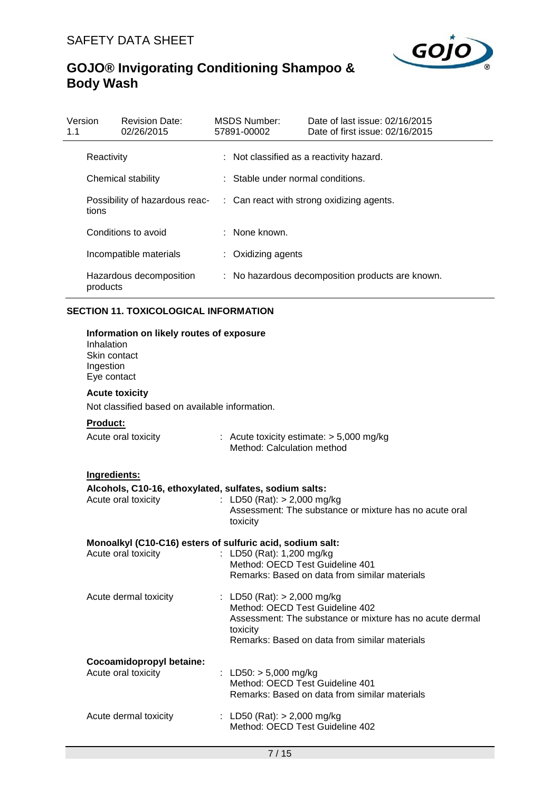

| Version<br>1.1 |                                         | <b>Revision Date:</b><br>02/26/2015 | MSDS Number:<br>57891-00002       | Date of last issue: 02/16/2015<br>Date of first issue: 02/16/2015 |
|----------------|-----------------------------------------|-------------------------------------|-----------------------------------|-------------------------------------------------------------------|
|                | Reactivity                              |                                     |                                   | : Not classified as a reactivity hazard.                          |
|                | Chemical stability                      |                                     | : Stable under normal conditions. |                                                                   |
|                | Possibility of hazardous reac-<br>tions |                                     |                                   | $\therefore$ Can react with strong oxidizing agents.              |
|                |                                         | Conditions to avoid                 | : None known.                     |                                                                   |
|                |                                         | Incompatible materials              | : Oxidizing agents                |                                                                   |
|                | products                                | Hazardous decomposition             |                                   | : No hazardous decomposition products are known.                  |

### **SECTION 11. TOXICOLOGICAL INFORMATION**

| Information on likely routes of exposure<br>Inhalation<br>Skin contact<br>Ingestion<br>Eye contact |                                                                                                               |  |  |  |  |
|----------------------------------------------------------------------------------------------------|---------------------------------------------------------------------------------------------------------------|--|--|--|--|
| <b>Acute toxicity</b>                                                                              |                                                                                                               |  |  |  |  |
| Not classified based on available information.                                                     |                                                                                                               |  |  |  |  |
| <b>Product:</b>                                                                                    |                                                                                                               |  |  |  |  |
| Acute oral toxicity                                                                                | : Acute toxicity estimate: $> 5,000$ mg/kg<br>Method: Calculation method                                      |  |  |  |  |
| Ingredients:                                                                                       |                                                                                                               |  |  |  |  |
| Alcohols, C10-16, ethoxylated, sulfates, sodium salts:                                             |                                                                                                               |  |  |  |  |
| Acute oral toxicity                                                                                | : LD50 (Rat): $> 2,000$ mg/kg<br>Assessment: The substance or mixture has no acute oral<br>toxicity           |  |  |  |  |
| Monoalkyl (C10-C16) esters of sulfuric acid, sodium salt:                                          |                                                                                                               |  |  |  |  |
| Acute oral toxicity                                                                                | : LD50 (Rat): 1,200 mg/kg<br>Method: OECD Test Guideline 401<br>Remarks: Based on data from similar materials |  |  |  |  |
|                                                                                                    |                                                                                                               |  |  |  |  |
| Acute dermal toxicity                                                                              | : LD50 (Rat): $> 2,000$ mg/kg                                                                                 |  |  |  |  |
|                                                                                                    | Method: OECD Test Guideline 402                                                                               |  |  |  |  |
|                                                                                                    | Assessment: The substance or mixture has no acute dermal                                                      |  |  |  |  |
|                                                                                                    | toxicity<br>Remarks: Based on data from similar materials                                                     |  |  |  |  |
| Cocoamidopropyl betaine:                                                                           |                                                                                                               |  |  |  |  |
| Acute oral toxicity                                                                                | : LD50: $> 5,000$ mg/kg<br>Method: OECD Test Guideline 401<br>Remarks: Based on data from similar materials   |  |  |  |  |
|                                                                                                    |                                                                                                               |  |  |  |  |
| Acute dermal toxicity                                                                              | : LD50 (Rat): $> 2,000$ mg/kg<br>Method: OECD Test Guideline 402                                              |  |  |  |  |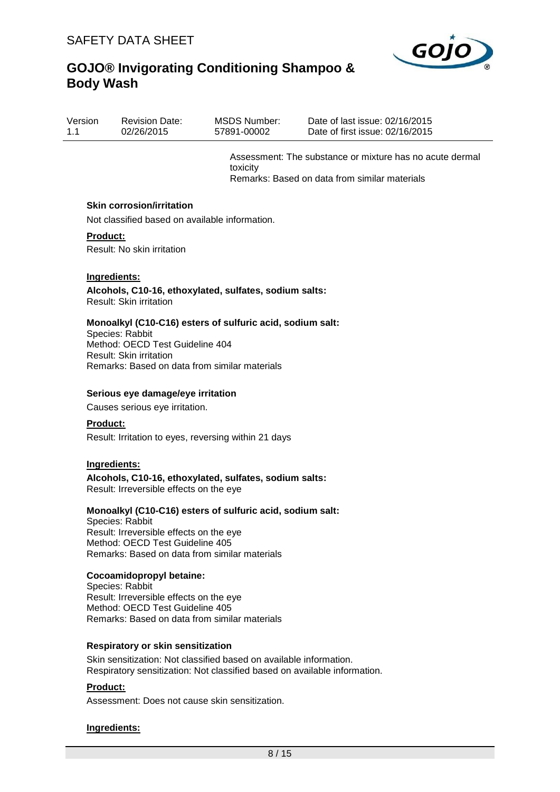

| Date of first issue: 02/16/2015<br>02/26/2015<br>1.1<br>57891-00002 | Version | <b>Revision Date:</b> | MSDS Number: | Date of last issue: $02/16/2015$ |  |
|---------------------------------------------------------------------|---------|-----------------------|--------------|----------------------------------|--|
|---------------------------------------------------------------------|---------|-----------------------|--------------|----------------------------------|--|

Assessment: The substance or mixture has no acute dermal toxicity Remarks: Based on data from similar materials

#### **Skin corrosion/irritation**

Not classified based on available information.

#### **Product:**

Result: No skin irritation

#### **Ingredients:**

**Alcohols, C10-16, ethoxylated, sulfates, sodium salts:** Result: Skin irritation

#### **Monoalkyl (C10-C16) esters of sulfuric acid, sodium salt:**

Species: Rabbit Method: OECD Test Guideline 404 Result: Skin irritation Remarks: Based on data from similar materials

#### **Serious eye damage/eye irritation**

Causes serious eye irritation.

#### **Product:**

Result: Irritation to eyes, reversing within 21 days

#### **Ingredients:**

**Alcohols, C10-16, ethoxylated, sulfates, sodium salts:** Result: Irreversible effects on the eye

### **Monoalkyl (C10-C16) esters of sulfuric acid, sodium salt:**

Species: Rabbit Result: Irreversible effects on the eye Method: OECD Test Guideline 405 Remarks: Based on data from similar materials

#### **Cocoamidopropyl betaine:**

Species: Rabbit Result: Irreversible effects on the eye Method: OECD Test Guideline 405 Remarks: Based on data from similar materials

#### **Respiratory or skin sensitization**

Skin sensitization: Not classified based on available information. Respiratory sensitization: Not classified based on available information.

### **Product:**

Assessment: Does not cause skin sensitization.

### **Ingredients:**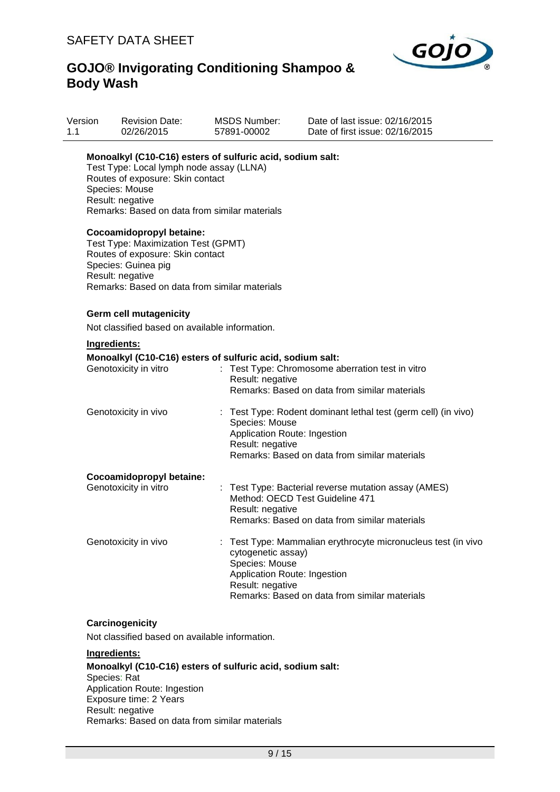

| Version<br>1.1 | <b>Revision Date:</b><br>02/26/2015                                                                                                                                                                                              | <b>MSDS Number:</b><br>57891-00002                                                       | Date of last issue: 02/16/2015<br>Date of first issue: 02/16/2015                                                                        |
|----------------|----------------------------------------------------------------------------------------------------------------------------------------------------------------------------------------------------------------------------------|------------------------------------------------------------------------------------------|------------------------------------------------------------------------------------------------------------------------------------------|
|                | Monoalkyl (C10-C16) esters of sulfuric acid, sodium salt:<br>Test Type: Local lymph node assay (LLNA)<br>Routes of exposure: Skin contact<br>Species: Mouse<br>Result: negative<br>Remarks: Based on data from similar materials |                                                                                          |                                                                                                                                          |
|                | Cocoamidopropyl betaine:<br>Test Type: Maximization Test (GPMT)<br>Routes of exposure: Skin contact<br>Species: Guinea pig<br>Result: negative<br>Remarks: Based on data from similar materials                                  |                                                                                          |                                                                                                                                          |
|                | Germ cell mutagenicity                                                                                                                                                                                                           |                                                                                          |                                                                                                                                          |
|                | Not classified based on available information.                                                                                                                                                                                   |                                                                                          |                                                                                                                                          |
| Ingredients:   |                                                                                                                                                                                                                                  |                                                                                          |                                                                                                                                          |
|                | Monoalkyl (C10-C16) esters of sulfuric acid, sodium salt:<br>Genotoxicity in vitro                                                                                                                                               | Result: negative                                                                         | : Test Type: Chromosome aberration test in vitro<br>Remarks: Based on data from similar materials                                        |
|                | Genotoxicity in vivo                                                                                                                                                                                                             | Species: Mouse<br>Application Route: Ingestion<br>Result: negative                       | : Test Type: Rodent dominant lethal test (germ cell) (in vivo)<br>Remarks: Based on data from similar materials                          |
|                | Cocoamidopropyl betaine:                                                                                                                                                                                                         |                                                                                          |                                                                                                                                          |
|                | Genotoxicity in vitro                                                                                                                                                                                                            | Result: negative                                                                         | : Test Type: Bacterial reverse mutation assay (AMES)<br>Method: OECD Test Guideline 471<br>Remarks: Based on data from similar materials |
|                | Genotoxicity in vivo                                                                                                                                                                                                             | cytogenetic assay)<br>Species: Mouse<br>Application Route: Ingestion<br>Result: negative | : Test Type: Mammalian erythrocyte micronucleus test (in vivo<br>Remarks: Based on data from similar materials                           |

### **Carcinogenicity**

Not classified based on available information.

### **Ingredients:**

**Monoalkyl (C10-C16) esters of sulfuric acid, sodium salt:** Species: Rat Application Route: Ingestion Exposure time: 2 Years Result: negative Remarks: Based on data from similar materials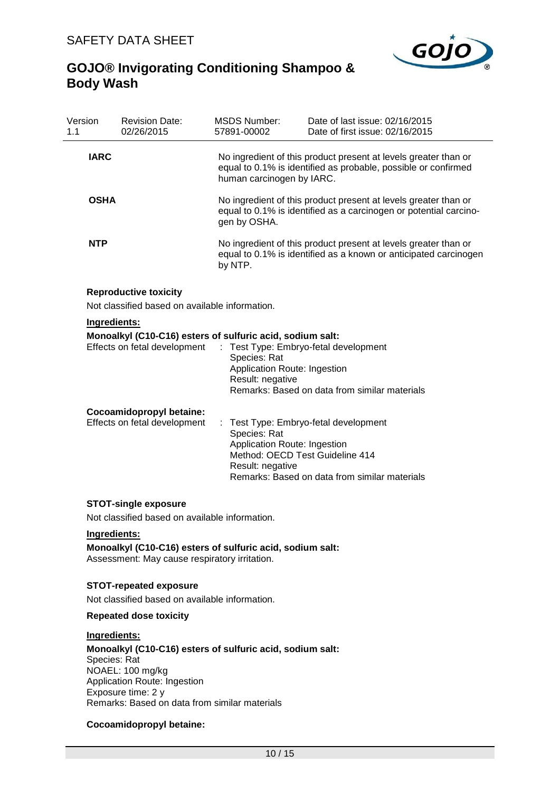

| Version<br>1.1 | <b>Revision Date:</b><br>02/26/2015                                                       | <b>MSDS Number:</b><br>57891-00002                                                                                                                   | Date of last issue: 02/16/2015<br>Date of first issue: 02/16/2015                                                                   |  |  |
|----------------|-------------------------------------------------------------------------------------------|------------------------------------------------------------------------------------------------------------------------------------------------------|-------------------------------------------------------------------------------------------------------------------------------------|--|--|
| <b>IARC</b>    |                                                                                           | human carcinogen by IARC.                                                                                                                            | No ingredient of this product present at levels greater than or<br>equal to 0.1% is identified as probable, possible or confirmed   |  |  |
| <b>OSHA</b>    |                                                                                           | No ingredient of this product present at levels greater than or<br>equal to 0.1% is identified as a carcinogen or potential carcino-<br>gen by OSHA. |                                                                                                                                     |  |  |
| <b>NTP</b>     |                                                                                           | by NTP.                                                                                                                                              | No ingredient of this product present at levels greater than or<br>equal to 0.1% is identified as a known or anticipated carcinogen |  |  |
|                | <b>Reproductive toxicity</b><br>Not classified based on available information.            |                                                                                                                                                      |                                                                                                                                     |  |  |
|                | Ingredients:                                                                              |                                                                                                                                                      |                                                                                                                                     |  |  |
|                | Monoalkyl (C10-C16) esters of sulfuric acid, sodium salt:<br>Effects on fetal development | ÷<br>Species: Rat<br>Application Route: Ingestion<br>Result: negative                                                                                | Test Type: Embryo-fetal development<br>Remarks: Based on data from similar materials                                                |  |  |
|                | Cocoamidopropyl betaine:<br>Effects on fetal development                                  | : Test Type: Embryo-fetal development<br>Species: Rat<br>Application Route: Ingestion<br>Method: OECD Test Guideline 414<br>Result: negative         | Remarks: Based on data from similar materials                                                                                       |  |  |
|                | <b>STOT-single exposure</b>                                                               |                                                                                                                                                      |                                                                                                                                     |  |  |

Not classified based on available information.

### **Ingredients:**

**Monoalkyl (C10-C16) esters of sulfuric acid, sodium salt:** Assessment: May cause respiratory irritation.

### **STOT-repeated exposure**

Not classified based on available information.

### **Repeated dose toxicity**

### **Ingredients:**

**Monoalkyl (C10-C16) esters of sulfuric acid, sodium salt:** Species: Rat NOAEL: 100 mg/kg Application Route: Ingestion Exposure time: 2 y Remarks: Based on data from similar materials

### **Cocoamidopropyl betaine:**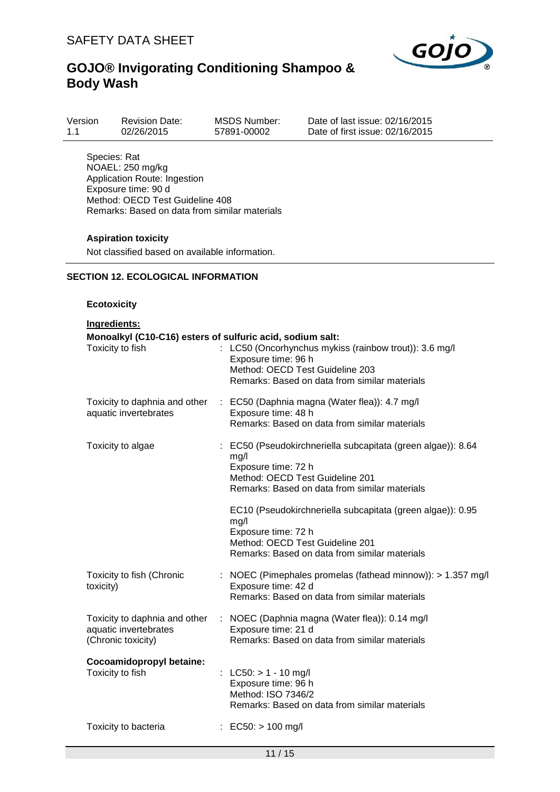

| Version<br>02/26/2015<br>$-1.1$ | <b>Revision Date:</b> | MSDS Number:<br>Date of<br>57891-00002<br>Date of |
|---------------------------------|-----------------------|---------------------------------------------------|
|                                 |                       |                                                   |

last issue: 02/16/2015  $first$  issue:  $02/16/2015$ 

Species: Rat NOAEL: 250 mg/kg Application Route: Ingestion Exposure time: 90 d Method: OECD Test Guideline 408 Remarks: Based on data from similar materials

### **Aspiration toxicity**

Not classified based on available information.

### **SECTION 12. ECOLOGICAL INFORMATION**

### **Ecotoxicity**

| Ingredients:                                                                 |                                                                                                                                                                                 |  |  |  |  |  |
|------------------------------------------------------------------------------|---------------------------------------------------------------------------------------------------------------------------------------------------------------------------------|--|--|--|--|--|
| Monoalkyl (C10-C16) esters of sulfuric acid, sodium salt:                    |                                                                                                                                                                                 |  |  |  |  |  |
| Toxicity to fish                                                             | : LC50 (Oncorhynchus mykiss (rainbow trout)): 3.6 mg/l<br>Exposure time: 96 h<br>Method: OECD Test Guideline 203<br>Remarks: Based on data from similar materials               |  |  |  |  |  |
| Toxicity to daphnia and other<br>aquatic invertebrates                       | : EC50 (Daphnia magna (Water flea)): 4.7 mg/l<br>Exposure time: 48 h<br>Remarks: Based on data from similar materials                                                           |  |  |  |  |  |
| Toxicity to algae                                                            | : EC50 (Pseudokirchneriella subcapitata (green algae)): 8.64<br>mg/l<br>Exposure time: 72 h<br>Method: OECD Test Guideline 201<br>Remarks: Based on data from similar materials |  |  |  |  |  |
|                                                                              | EC10 (Pseudokirchneriella subcapitata (green algae)): 0.95<br>mg/l<br>Exposure time: 72 h<br>Method: OECD Test Guideline 201<br>Remarks: Based on data from similar materials   |  |  |  |  |  |
| Toxicity to fish (Chronic<br>toxicity)                                       | : NOEC (Pimephales promelas (fathead minnow)): > 1.357 mg/l<br>Exposure time: 42 d<br>Remarks: Based on data from similar materials                                             |  |  |  |  |  |
| Toxicity to daphnia and other<br>aquatic invertebrates<br>(Chronic toxicity) | : NOEC (Daphnia magna (Water flea)): 0.14 mg/l<br>Exposure time: 21 d<br>Remarks: Based on data from similar materials                                                          |  |  |  |  |  |
| Cocoamidopropyl betaine:<br>Toxicity to fish                                 | : LC50: $> 1 - 10$ mg/l<br>Exposure time: 96 h<br>Method: ISO 7346/2<br>Remarks: Based on data from similar materials                                                           |  |  |  |  |  |
| Toxicity to bacteria                                                         | : EC50: $> 100$ mg/l                                                                                                                                                            |  |  |  |  |  |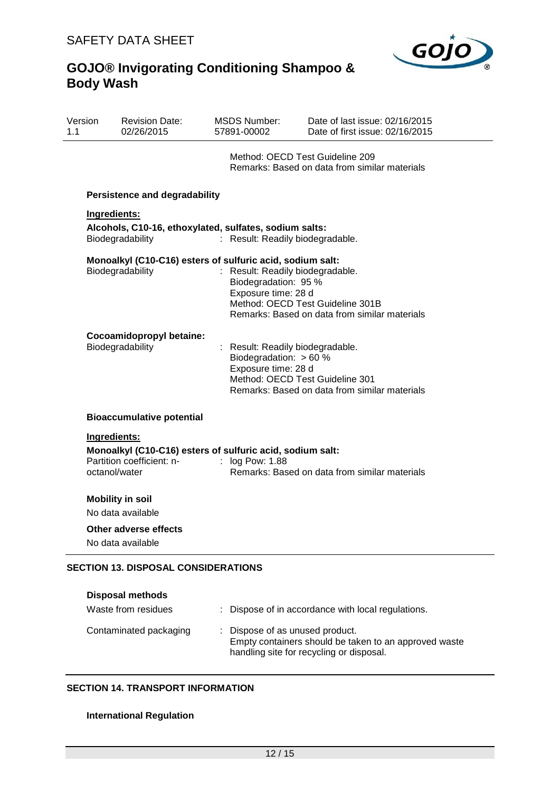

| Version<br>1.1 | <b>Revision Date:</b><br>02/26/2015                                                                                     | <b>MSDS Number:</b><br>57891-00002                                                                                                                                                                                                                                                                                              | Date of last issue: 02/16/2015<br>Date of first issue: 02/16/2015                |  |
|----------------|-------------------------------------------------------------------------------------------------------------------------|---------------------------------------------------------------------------------------------------------------------------------------------------------------------------------------------------------------------------------------------------------------------------------------------------------------------------------|----------------------------------------------------------------------------------|--|
|                |                                                                                                                         |                                                                                                                                                                                                                                                                                                                                 | Method: OECD Test Guideline 209<br>Remarks: Based on data from similar materials |  |
|                | <b>Persistence and degradability</b>                                                                                    |                                                                                                                                                                                                                                                                                                                                 |                                                                                  |  |
|                | Ingredients:                                                                                                            |                                                                                                                                                                                                                                                                                                                                 |                                                                                  |  |
|                | Biodegradability                                                                                                        | Alcohols, C10-16, ethoxylated, sulfates, sodium salts:<br>: Result: Readily biodegradable.<br>Monoalkyl (C10-C16) esters of sulfuric acid, sodium salt:<br>: Result: Readily biodegradable.<br>Biodegradation: 95 %<br>Exposure time: 28 d<br>Method: OECD Test Guideline 301B<br>Remarks: Based on data from similar materials |                                                                                  |  |
|                | Biodegradability                                                                                                        |                                                                                                                                                                                                                                                                                                                                 |                                                                                  |  |
|                | Cocoamidopropyl betaine:<br>Biodegradability                                                                            | : Result: Readily biodegradable.<br>Biodegradation: > 60 %<br>Exposure time: 28 d                                                                                                                                                                                                                                               | Method: OECD Test Guideline 301<br>Remarks: Based on data from similar materials |  |
|                | <b>Bioaccumulative potential</b>                                                                                        |                                                                                                                                                                                                                                                                                                                                 |                                                                                  |  |
|                | Ingredients:<br>Monoalkyl (C10-C16) esters of sulfuric acid, sodium salt:<br>Partition coefficient: n-<br>octanol/water | $:$ log Pow: 1.88                                                                                                                                                                                                                                                                                                               | Remarks: Based on data from similar materials                                    |  |
|                | <b>Mobility in soil</b><br>No data available                                                                            |                                                                                                                                                                                                                                                                                                                                 |                                                                                  |  |
|                | Other adverse effects<br>No data available                                                                              |                                                                                                                                                                                                                                                                                                                                 |                                                                                  |  |
|                | <b>SECTION 13. DISPOSAL CONSIDERATIONS</b>                                                                              |                                                                                                                                                                                                                                                                                                                                 |                                                                                  |  |

### **Disposal methods** Waste from residues : Dispose of in accordance with local regulations. Contaminated packaging : Dispose of as unused product. Empty containers should be taken to an approved waste handling site for recycling or disposal.

### **SECTION 14. TRANSPORT INFORMATION**

### **International Regulation**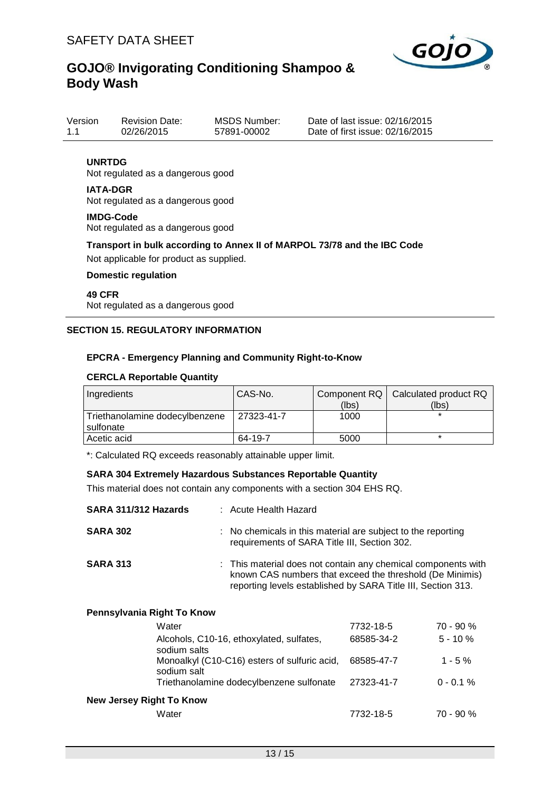

| Version | <b>Revision Date:</b> | <b>MSDS Number:</b> | Date |
|---------|-----------------------|---------------------|------|
| 1.1     | 02/26/2015            | 57891-00002         | Date |

e of last issue: 02/16/2015  $e$  of first issue: 02/16/2015

### **UNRTDG**

Not regulated as a dangerous good

#### **IATA-DGR**

Not regulated as a dangerous good

#### **IMDG-Code**

Not regulated as a dangerous good

### **Transport in bulk according to Annex II of MARPOL 73/78 and the IBC Code**

Not applicable for product as supplied.

### **Domestic regulation**

### **49 CFR** Not regulated as a dangerous good

### **SECTION 15. REGULATORY INFORMATION**

### **EPCRA - Emergency Planning and Community Right-to-Know**

#### **CERCLA Reportable Quantity**

| Ingredients                    | CAS-No.    |       | Component RQ   Calculated product RQ |
|--------------------------------|------------|-------|--------------------------------------|
|                                |            | (lbs) | (lbs)                                |
| Triethanolamine dodecylbenzene | 27323-41-7 | 1000  |                                      |
| l sulfonate                    |            |       |                                      |
| Acetic acid                    | 64-19-7    | 5000  |                                      |

\*: Calculated RQ exceeds reasonably attainable upper limit.

#### **SARA 304 Extremely Hazardous Substances Reportable Quantity**

This material does not contain any components with a section 304 EHS RQ.

| SARA 311/312 Hazards | : Acute Health Hazard                                                                                                                                                                     |
|----------------------|-------------------------------------------------------------------------------------------------------------------------------------------------------------------------------------------|
| <b>SARA 302</b>      | : No chemicals in this material are subject to the reporting<br>requirements of SARA Title III, Section 302.                                                                              |
| <b>SARA 313</b>      | : This material does not contain any chemical components with<br>known CAS numbers that exceed the threshold (De Minimis)<br>reporting levels established by SARA Title III, Section 313. |

| 7732-18-5  | $70 - 90 %$  |
|------------|--------------|
| 68585-34-2 | $5 - 10 \%$  |
| 68585-47-7 | $1 - 5 \%$   |
| 27323-41-7 | $0 - 0.1 \%$ |
|            |              |
| 7732-18-5  | $70 - 90 %$  |
|            |              |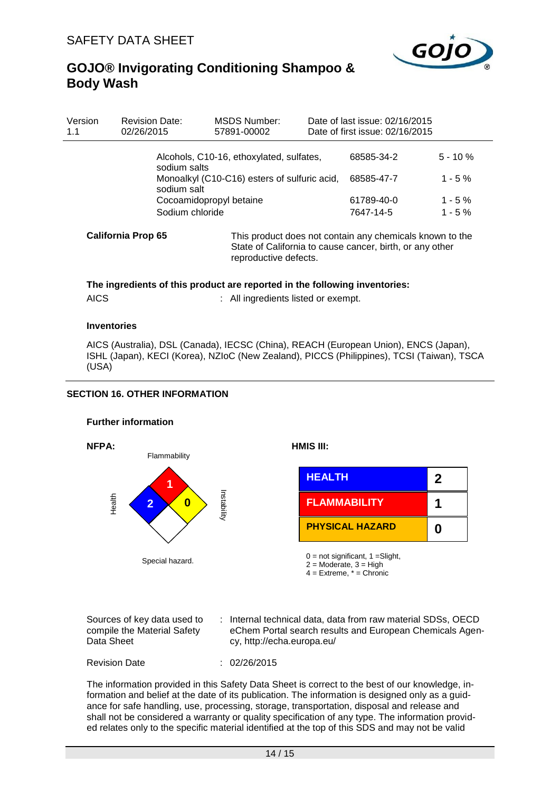

| Version<br>1.1 | <b>Revision Date:</b><br>02/26/2015 | MSDS Number:<br>57891-00002                                 |                                                                                                                      | Date of last issue: 02/16/2015<br>Date of first issue: 02/16/2015 |             |  |
|----------------|-------------------------------------|-------------------------------------------------------------|----------------------------------------------------------------------------------------------------------------------|-------------------------------------------------------------------|-------------|--|
|                |                                     | Alcohols, C10-16, ethoxylated, sulfates,<br>sodium salts    |                                                                                                                      |                                                                   | $5 - 10 \%$ |  |
|                |                                     | Monoalkyl (C10-C16) esters of sulfuric acid,<br>sodium salt |                                                                                                                      |                                                                   | $1 - 5%$    |  |
|                |                                     | Cocoamidopropyl betaine                                     | 61789-40-0                                                                                                           | $1 - 5\%$                                                         |             |  |
|                | Sodium chloride                     |                                                             |                                                                                                                      | 7647-14-5                                                         | $1 - 5%$    |  |
|                | <b>California Prop 65</b>           |                                                             | This product does not contain any chemicals known to the<br>State of California to cause cancer, birth, or any other |                                                                   |             |  |

reproductive defects.

# **The ingredients of this product are reported in the following inventories:**

## AICS : All ingredients listed or exempt.

### **Inventories**

AICS (Australia), DSL (Canada), IECSC (China), REACH (European Union), ENCS (Japan), ISHL (Japan), KECI (Korea), NZIoC (New Zealand), PICCS (Philippines), TCSI (Taiwan), TSCA (USA)

### **SECTION 16. OTHER INFORMATION**

#### **Further information**



| Sources of key data used to | Internal technical data, data from raw material SDSs, OECD |
|-----------------------------|------------------------------------------------------------|
| compile the Material Safety | eChem Portal search results and European Chemicals Agen-   |
| Data Sheet                  | cy, http://echa.europa.eu/                                 |

Revision Date : 02/26/2015

The information provided in this Safety Data Sheet is correct to the best of our knowledge, information and belief at the date of its publication. The information is designed only as a guidance for safe handling, use, processing, storage, transportation, disposal and release and shall not be considered a warranty or quality specification of any type. The information provided relates only to the specific material identified at the top of this SDS and may not be valid